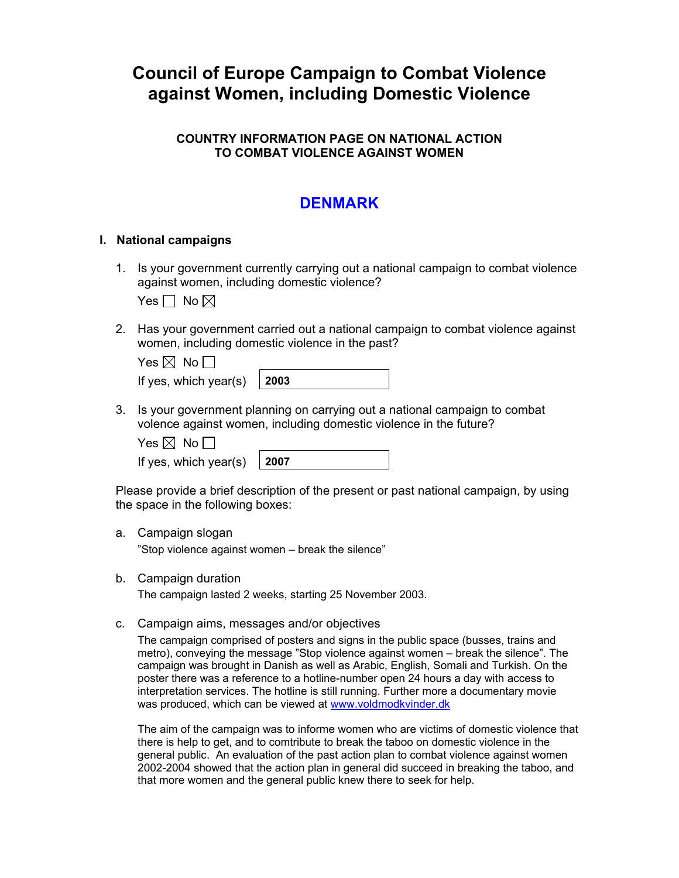# **Council of Europe Campaign to Combat Violence against Women, including Domestic Violence**

# **COUNTRY INFORMATION PAGE ON NATIONAL ACTION TO COMBAT VIOLENCE AGAINST WOMEN**

# **DENMARK**

## **I. National campaigns**

1. Is your government currently carrying out a national campaign to combat violence against women, including domestic violence?

Yes  $\Box$  No  $\boxtimes$ 

2. Has your government carried out a national campaign to combat violence against women, including domestic violence in the past?

| Yes $\boxtimes$ No $\Box$          |  |
|------------------------------------|--|
| If yes, which year(s) $\vert$ 2003 |  |

3. Is your government planning on carrying out a national campaign to combat volence against women, including domestic violence in the future?

Yes  $\boxtimes$  No  $\Box$ 

If yes, which year(s)  $\vert$  2007

Please provide a brief description of the present or past national campaign, by using the space in the following boxes:

a. Campaign slogan

"Stop violence against women – break the silence"

b. Campaign duration

The campaign lasted 2 weeks, starting 25 November 2003.

c. Campaign aims, messages and/or objectives

The campaign comprised of posters and signs in the public space (busses, trains and metro), conveying the message "Stop violence against women – break the silence". The campaign was brought in Danish as well as Arabic, English, Somali and Turkish. On the poster there was a reference to a hotline-number open 24 hours a day with access to interpretation services. The hotline is still running. Further more a documentary movie was produced, which can be viewed at [www.voldmodkvinder.dk](http://www.voldmodkvinder.dk/)

The aim of the campaign was to informe women who are victims of domestic violence that there is help to get, and to comtribute to break the taboo on domestic violence in the general public. An evaluation of the past action plan to combat violence against women 2002-2004 showed that the action plan in general did succeed in breaking the taboo, and that more women and the general public knew there to seek for help.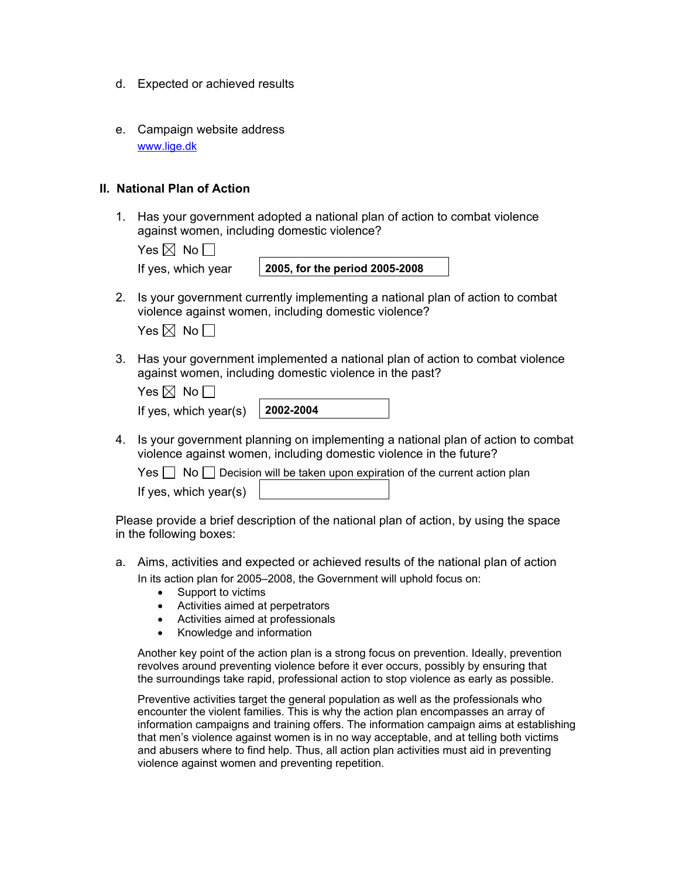- d. Expected or achieved results
- e. Campaign website address [www.lige.dk](http://www.lige.dk/)

#### **II. National Plan of Action**

1. Has your government adopted a national plan of action to combat violence against women, including domestic violence?

| es $\boxtimes$ | <b>No</b> |
|----------------|-----------|
|----------------|-----------|

|  | If yes, which yea |  |
|--|-------------------|--|
|  |                   |  |

If yes, which year **2005, for the period 2005-2008** 

2. Is your government currently implementing a national plan of action to combat violence against women, including domestic violence?

| Yes $\boxtimes$ |  | No <sub>1</sub> |
|-----------------|--|-----------------|
|-----------------|--|-----------------|

3. Has your government implemented a national plan of action to combat violence against women, including domestic violence in the past?

| Yes $\boxtimes$ No $\Box$         |  |
|-----------------------------------|--|
| If yes, which year(s) $\vert$ 200 |  |

| 2--2004 |  |
|---------|--|

4. Is your government planning on implementing a national plan of action to combat violence against women, including domestic violence in the future?

Yes No Decision will be taken upon expiration of the current action plan

If yes, which year(s)

Please provide a brief description of the national plan of action, by using the space in the following boxes:

- a. Aims, activities and expected or achieved results of the national plan of action In its action plan for 2005–2008, the Government will uphold focus on:
	- Support to victims
	- Activities aimed at perpetrators
	- Activities aimed at professionals
	- Knowledge and information

Another key point of the action plan is a strong focus on prevention. Ideally, prevention revolves around preventing violence before it ever occurs, possibly by ensuring that the surroundings take rapid, professional action to stop violence as early as possible.

Preventive activities target the general population as well as the professionals who encounter the violent families. This is why the action plan encompasses an array of information campaigns and training offers. The information campaign aims at establishing that men's violence against women is in no way acceptable, and at telling both victims and abusers where to find help. Thus, all action plan activities must aid in preventing violence against women and preventing repetition.